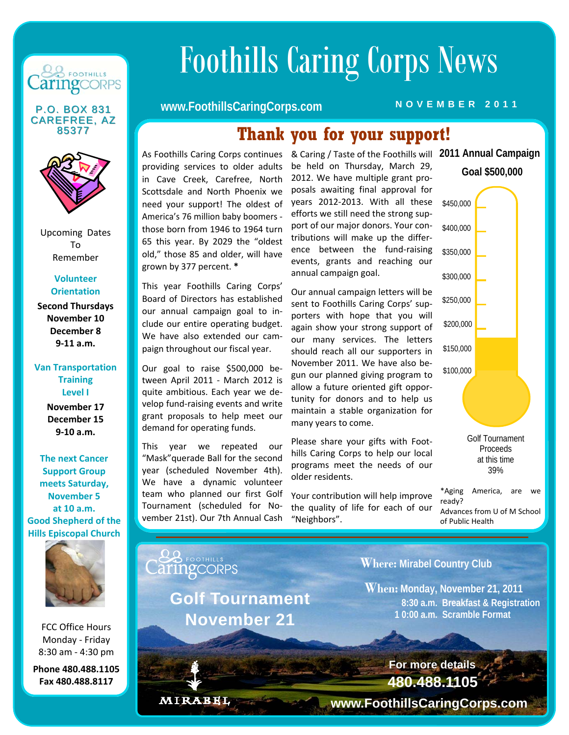

**CAREFREE, AZ** 85377



Upcoming Dates To Remember

#### **Volunteer Orientation**

**Second Thursdays November 10 December 8 9‐11 a.m.**

#### **Van Transportation Training Level I**

**November 17 December 15 9‐10 a.m.**

**The next Cancer Support Group meets Saturday, November 5 at 10 a.m. Good Shepherd of the Hills Episcopal Church** 



FCC Office Hours Monday ‐ Friday 8:30 am ‐ 4:30 pm

**Phone 480.488.1105 Fax 480.488.8117**

# Foothills Caring Corps News

# **P.O. BOX 831 WWW.FoothillsCaringCorps.com NOVEMBER 2011**

# **Thank you for your support!**

As Foothills Caring Corps continues & Caring / Taste of the Foothills will 2011 Annual Campaign providing services to older adults in Cave Creek, Carefree, North Scottsdale and North Phoenix we need your support! The oldest of America's 76 million baby boomers ‐ those born from 1946 to 1964 turn 65 this year. By 2029 the "oldest old," those 85 and older, will have grown by 377 percent. **\***

This year Foothills Caring Corps' Board of Directors has established our annual campaign goal to in‐ clude our entire operating budget. We have also extended our campaign throughout our fiscal year.

Our goal to raise \$500,000 be‐ tween April 2011 - March 2012 is quite ambitious. Each year we de‐ velop fund‐raising events and write grant proposals to help meet our demand for operating funds.

This year we repeated our "Mask"querade Ball for the second year (scheduled November 4th). We have a dynamic volunteer team who planned our first Golf Tournament (scheduled for No‐ vember 21st). Our 7th Annual Cash

**Golf Tournament** 

 **November 21** 

MIRABEL

be held on Thursday, March 29, 2012. We have multiple grant pro‐ posals awaiting final approval for years 2012‐2013. With all these efforts we still need the strong sup‐ port of our major donors. Your contributions will make up the differ‐ ence between the fund-raising events, grants and reaching our annual campaign goal.

Our annual campaign letters will be sent to Foothills Caring Corps' supporters with hope that you will again show your strong support of our many services. The letters should reach all our supporters in November 2011. We have also be‐ gun our planned giving program to allow a future oriented gift oppor‐ tunity for donors and to help us maintain a stable organization for many years to come.

Please share your gifts with Foot‐ hills Caring Corps to help our local programs meet the needs of our older residents.

Your contribution will help improve the quality of life for each of our "Neighbors".



Proceeds at this time 39%

\*Aging America, are we ready? Advances from U of M School of Public Health

**Where: Mirabel Country Club** 

 **When: Monday, November 21, 2011 8:30 a.m. Breakfast & Registration 1 0:00 a.m. Scramble Format** 

> **480.488.1105 For more details**

**www.FoothillsCaringCorps.com**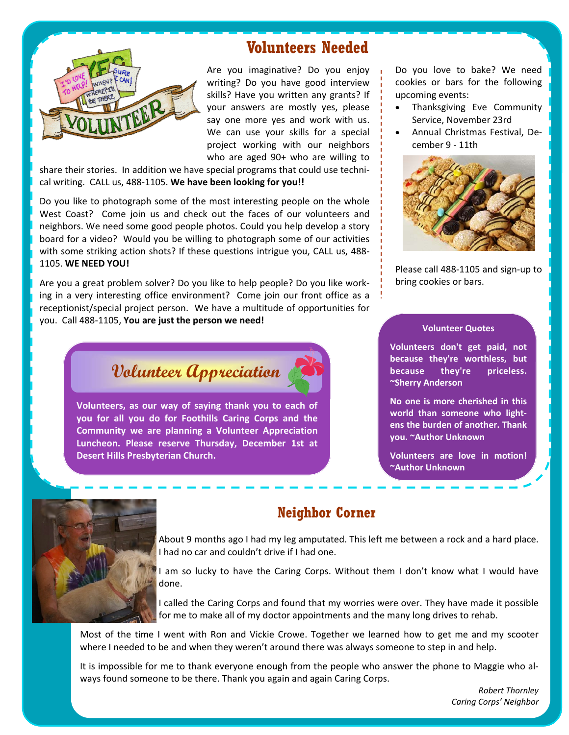

# **Volunteers Needed**

Are you imaginative? Do you enjoy writing? Do you have good interview skills? Have you written any grants? If your answers are mostly yes, please say one more yes and work with us. We can use your skills for a special project working with our neighbors who are aged 90+ who are willing to

share their stories. In addition we have special programs that could use technical writing. CALL us, 488‐1105. **We have been looking for you!!**

Do you like to photograph some of the most interesting people on the whole West Coast? Come join us and check out the faces of our volunteers and neighbors. We need some good people photos. Could you help develop a story board for a video? Would you be willing to photograph some of our activities with some striking action shots? If these questions intrigue you, CALL us, 488-1105. **WE NEED YOU!**

Are you a great problem solver? Do you like to help people? Do you like work‐ ing in a very interesting office environment? Come join our front office as a receptionist/special project person. We have a multitude of opportunities for you. Call 488‐1105, **You are just the person we need!**

**Volunteer Appreciation** 

**Volunteers, as our way of saying thank you to each of you for all you do for Foothills Caring Corps and the Community we are planning a Volunteer Appreciation Luncheon. Please reserve Thursday, December 1st at Desert Hills Presbyterian Church.** 

Do you love to bake? We need cookies or bars for the following upcoming events:

- Thanksgiving Eve Community Service, November 23rd
- Annual Christmas Festival, De‐ cember 9 ‐ 11th



Please call 488‐1105 and sign‐up to bring cookies or bars.

#### **Volunteer Quotes**

**Volunteers don't get paid, not because they're worthless, but because they're priceless. ~Sherry Anderson** 

**No one is more cherished in this world than someone who light‐ ens the burden of another. Thank you. ~Author Unknown**

**Volunteers are love in motion! ~Author Unknown** 



# **Neighbor Corner**

About 9 months ago I had my leg amputated. This left me between a rock and a hard place. I had no car and couldn't drive if I had one.

I am so lucky to have the Caring Corps. Without them I don't know what I would have done.

I called the Caring Corps and found that my worries were over. They have made it possible for me to make all of my doctor appointments and the many long drives to rehab.

Most of the time I went with Ron and Vickie Crowe. Together we learned how to get me and my scooter where I needed to be and when they weren't around there was always someone to step in and help.

It is impossible for me to thank everyone enough from the people who answer the phone to Maggie who al‐ ways found someone to be there. Thank you again and again Caring Corps.

> *Robert Thornley Caring Corps' Neighbor*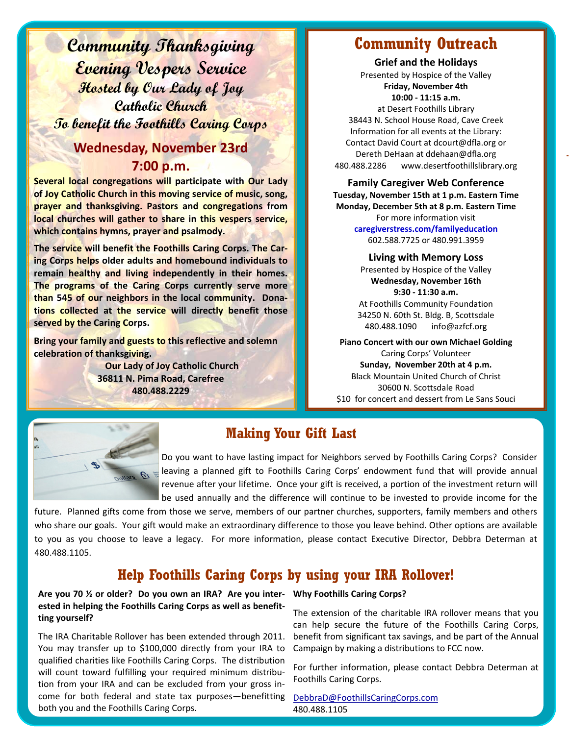**Community Thanksgiving Evening Vespers Service Hosted by Our Lady of Joy Catholic Church To benefit the Foothills Caring Corps** 

# **Wednesday, November 23rd 7:00 p.m.**

**Several local congregations will participate with Our Lady of Joy Catholic Church in this moving service of music, song, prayer and thanksgiving. Pastors and congregations from local churches will gather to share in this vespers service, which contains hymns, prayer and psalmody.** 

**The service will benefit the Foothills Caring Corps. The Car‐ ing Corps helps older adults and homebound individuals to remain healthy and living independently in their homes. The programs of the Caring Corps currently serve more than 545 of our neighbors in the local community. Dona‐ tions collected at the service will directly benefit those served by the Caring Corps.**

**Bring your family and guests to this reflective and solemn celebration of thanksgiving.**

> **Our Lady of Joy Catholic Church 36811 N. Pima Road, Carefree 480.488.2229**

# **Community Outreach**

**Grief and the Holidays** Presented by Hospice of the Valley **Friday, November 4th 10:00 ‐ 11:15 a.m.** at Desert Foothills Library 38443 N. School House Road, Cave Creek Information for all events at the Library: Contact David Court at dcourt@dfla.org or Dereth DeHaan at ddehaan@dfla.org 480.488.2286 www.desertfoothillslibrary.org

#### **Family Caregiver Web Conference Tuesday, November 15th at 1 p.m. Eastern Time Monday, December 5th at 8 p.m. Eastern Time** For more information visit

**caregiverstress.com/familyeducation** 602.588.7725 or 480.991.3959

#### **Living with Memory Loss** Presented by Hospice of the Valley

**Wednesday, November 16th 9:30 ‐ 11:30 a.m.** At Foothills Community Foundation 34250 N. 60th St. Bldg. B, Scottsdale

480.488.1090 info@azfcf.org

**Piano Concert with our own Michael Golding** Caring Corps' Volunteer **Sunday, November 20th at 4 p.m.**  Black Mountain United Church of Christ 30600 N. Scottsdale Road \$10 for concert and dessert from Le Sans Souci



# **Making Your Gift Last**

Do you want to have lasting impact for Neighbors served by Foothills Caring Corps? Consider leaving a planned gift to Foothills Caring Corps' endowment fund that will provide annual revenue after your lifetime. Once your gift is received, a portion of the investment return will be used annually and the difference will continue to be invested to provide income for the

future. Planned gifts come from those we serve, members of our partner churches, supporters, family members and others who share our goals. Your gift would make an extraordinary difference to those you leave behind. Other options are available to you as you choose to leave a legacy. For more information, please contact Executive Director, Debbra Determan at 480.488.1105.

# **Help Foothills Caring Corps by using your IRA Rollover!**

#### Are you 70 % or older? Do you own an IRA? Are you inter- Why Foothills Caring Corps? **ested in helping the Foothills Caring Corps as well as benefit‐ ting yourself?**

The IRA Charitable Rollover has been extended through 2011. You may transfer up to \$100,000 directly from your IRA to qualified charities like Foothills Caring Corps. The distribution will count toward fulfilling your required minimum distribution from your IRA and can be excluded from your gross in‐ come for both federal and state tax purposes—benefitting both you and the Foothills Caring Corps.

The extension of the charitable IRA rollover means that you can help secure the future of the Foothills Caring Corps, benefit from significant tax savings, and be part of the Annual Campaign by making a distributions to FCC now.

For further information, please contact Debbra Determan at Foothills Caring Corps.

DebbraD@FoothillsCaringCorps.com 480.488.1105